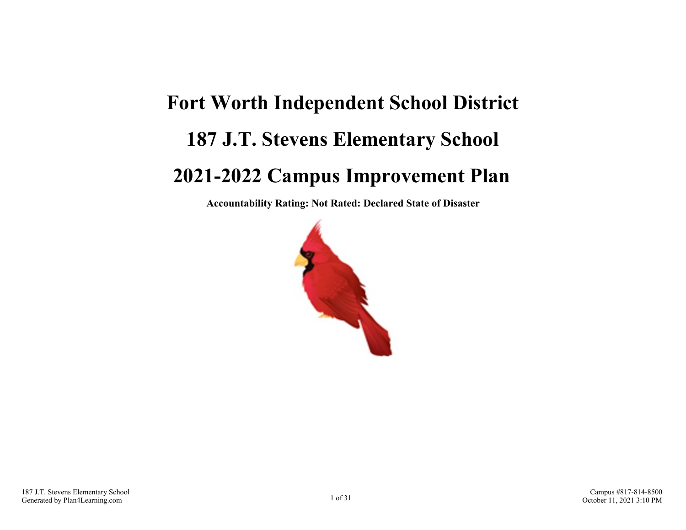# **Fort Worth Independent School District 187 J.T. Stevens Elementary School 2021-2022 Campus Improvement Plan**

**Accountability Rating: Not Rated: Declared State of Disaster**

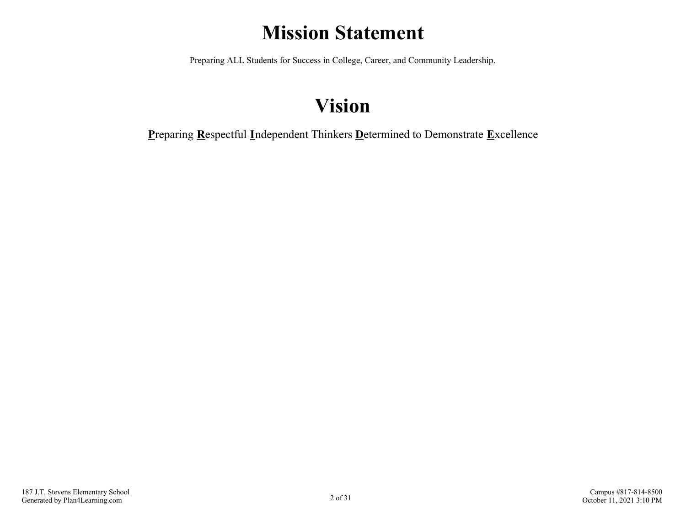## **Mission Statement**

Preparing ALL Students for Success in College, Career, and Community Leadership.

## **Vision**

**P**reparing **R**espectful **I**ndependent Thinkers **D**etermined to Demonstrate **E**xcellence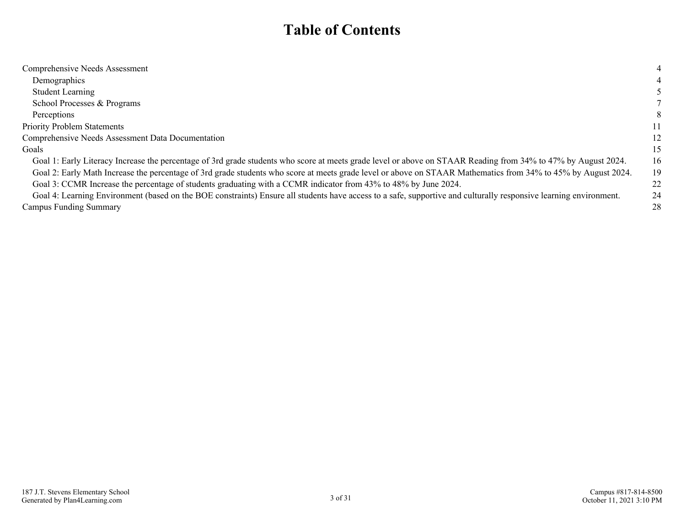### **Table of Contents**

| Comprehensive Needs Assessment                                                                                                                                    |    |
|-------------------------------------------------------------------------------------------------------------------------------------------------------------------|----|
| Demographics                                                                                                                                                      |    |
| <b>Student Learning</b>                                                                                                                                           |    |
| School Processes & Programs                                                                                                                                       |    |
| Perceptions                                                                                                                                                       | 8  |
| <b>Priority Problem Statements</b>                                                                                                                                | 11 |
| Comprehensive Needs Assessment Data Documentation                                                                                                                 | 12 |
| Goals                                                                                                                                                             | 15 |
| Goal 1: Early Literacy Increase the percentage of 3rd grade students who score at meets grade level or above on STAAR Reading from 34% to 47% by August 2024.     | 16 |
| Goal 2: Early Math Increase the percentage of 3rd grade students who score at meets grade level or above on STAAR Mathematics from 34% to 45% by August 2024.     | 19 |
| Goal 3: CCMR Increase the percentage of students graduating with a CCMR indicator from 43% to 48% by June 2024.                                                   | 22 |
| Goal 4: Learning Environment (based on the BOE constraints) Ensure all students have access to a safe, supportive and culturally responsive learning environment. | 24 |
| <b>Campus Funding Summary</b>                                                                                                                                     | 28 |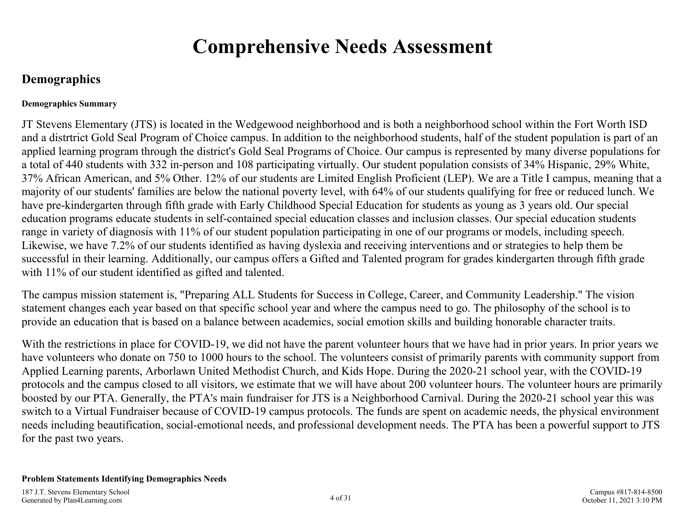### **Comprehensive Needs Assessment**

### <span id="page-3-0"></span>**Demographics**

#### **Demographics Summary**

JT Stevens Elementary (JTS) is located in the Wedgewood neighborhood and is both a neighborhood school within the Fort Worth ISD and a distrtrict Gold Seal Program of Choice campus. In addition to the neighborhood students, half of the student population is part of an applied learning program through the district's Gold Seal Programs of Choice. Our campus is represented by many diverse populations for a total of 440 students with 332 in-person and 108 participating virtually. Our student population consists of 34% Hispanic, 29% White, 37% African American, and 5% Other. 12% of our students are Limited English Proficient (LEP). We are a Title I campus, meaning that a majority of our students' families are below the national poverty level, with 64% of our students qualifying for free or reduced lunch. We have pre-kindergarten through fifth grade with Early Childhood Special Education for students as young as 3 years old. Our special education programs educate students in self-contained special education classes and inclusion classes. Our special education students range in variety of diagnosis with 11% of our student population participating in one of our programs or models, including speech. Likewise, we have 7.2% of our students identified as having dyslexia and receiving interventions and or strategies to help them be successful in their learning. Additionally, our campus offers a Gifted and Talented program for grades kindergarten through fifth grade with 11% of our student identified as gifted and talented.

The campus mission statement is, "Preparing ALL Students for Success in College, Career, and Community Leadership." The vision statement changes each year based on that specific school year and where the campus need to go. The philosophy of the school is to provide an education that is based on a balance between academics, social emotion skills and building honorable character traits.

With the restrictions in place for COVID-19, we did not have the parent volunteer hours that we have had in prior years. In prior years we have volunteers who donate on 750 to 1000 hours to the school. The volunteers consist of primarily parents with community support from Applied Learning parents, Arborlawn United Methodist Church, and Kids Hope. During the 2020-21 school year, with the COVID-19 protocols and the campus closed to all visitors, we estimate that we will have about 200 volunteer hours. The volunteer hours are primarily boosted by our PTA. Generally, the PTA's main fundraiser for JTS is a Neighborhood Carnival. During the 2020-21 school year this was switch to a Virtual Fundraiser because of COVID-19 campus protocols. The funds are spent on academic needs, the physical environment needs including beautification, social-emotional needs, and professional development needs. The PTA has been a powerful support to JTS for the past two years.

#### **Problem Statements Identifying Demographics Needs**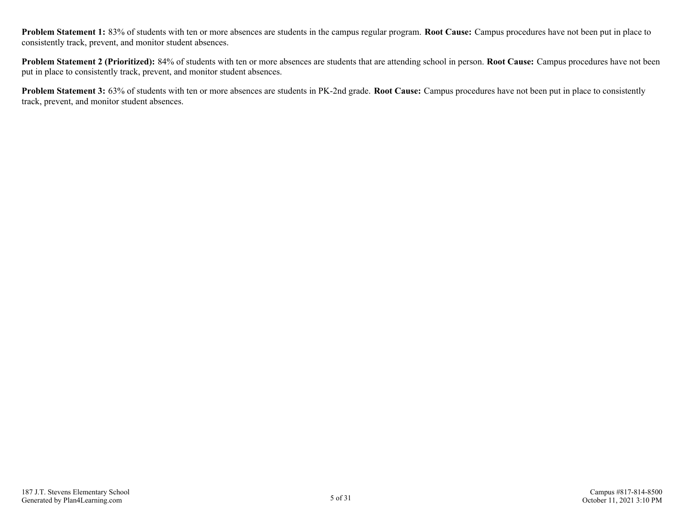**Problem Statement 1:** 83% of students with ten or more absences are students in the campus regular program. **Root Cause:** Campus procedures have not been put in place to consistently track, prevent, and monitor student absences.

**Problem Statement 2 (Prioritized):** 84% of students with ten or more absences are students that are attending school in person. **Root Cause:** Campus procedures have not been put in place to consistently track, prevent, and monitor student absences.

**Problem Statement 3:** 63% of students with ten or more absences are students in PK-2nd grade. **Root Cause:** Campus procedures have not been put in place to consistently track, prevent, and monitor student absences.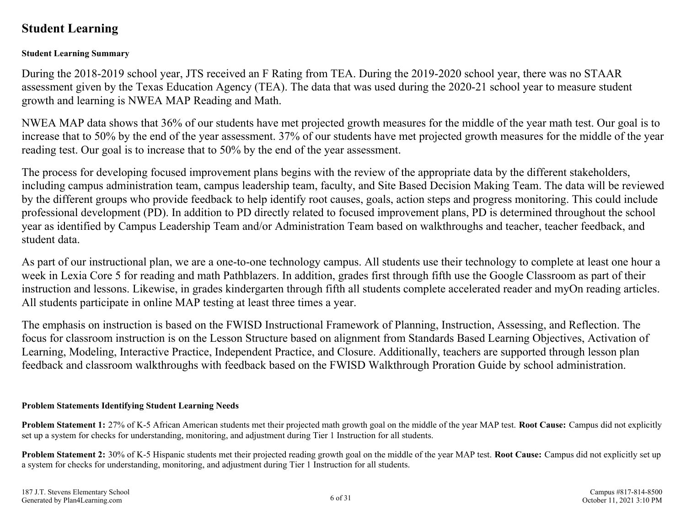### <span id="page-5-0"></span>**Student Learning**

#### **Student Learning Summary**

During the 2018-2019 school year, JTS received an F Rating from TEA. During the 2019-2020 school year, there was no STAAR assessment given by the Texas Education Agency (TEA). The data that was used during the 2020-21 school year to measure student growth and learning is NWEA MAP Reading and Math.

NWEA MAP data shows that 36% of our students have met projected growth measures for the middle of the year math test. Our goal is to increase that to 50% by the end of the year assessment. 37% of our students have met projected growth measures for the middle of the year reading test. Our goal is to increase that to 50% by the end of the year assessment.

The process for developing focused improvement plans begins with the review of the appropriate data by the different stakeholders, including campus administration team, campus leadership team, faculty, and Site Based Decision Making Team. The data will be reviewed by the different groups who provide feedback to help identify root causes, goals, action steps and progress monitoring. This could include professional development (PD). In addition to PD directly related to focused improvement plans, PD is determined throughout the school year as identified by Campus Leadership Team and/or Administration Team based on walkthroughs and teacher, teacher feedback, and student data.

As part of our instructional plan, we are a one-to-one technology campus. All students use their technology to complete at least one hour a week in Lexia Core 5 for reading and math Pathblazers. In addition, grades first through fifth use the Google Classroom as part of their instruction and lessons. Likewise, in grades kindergarten through fifth all students complete accelerated reader and myOn reading articles. All students participate in online MAP testing at least three times a year.

The emphasis on instruction is based on the FWISD Instructional Framework of Planning, Instruction, Assessing, and Reflection. The focus for classroom instruction is on the Lesson Structure based on alignment from Standards Based Learning Objectives, Activation of Learning, Modeling, Interactive Practice, Independent Practice, and Closure. Additionally, teachers are supported through lesson plan feedback and classroom walkthroughs with feedback based on the FWISD Walkthrough Proration Guide by school administration.

#### **Problem Statements Identifying Student Learning Needs**

**Problem Statement 1:** 27% of K-5 African American students met their projected math growth goal on the middle of the year MAP test. **Root Cause:** Campus did not explicitly set up a system for checks for understanding, monitoring, and adjustment during Tier 1 Instruction for all students.

**Problem Statement 2:** 30% of K-5 Hispanic students met their projected reading growth goal on the middle of the year MAP test. **Root Cause:** Campus did not explicitly set up a system for checks for understanding, monitoring, and adjustment during Tier 1 Instruction for all students.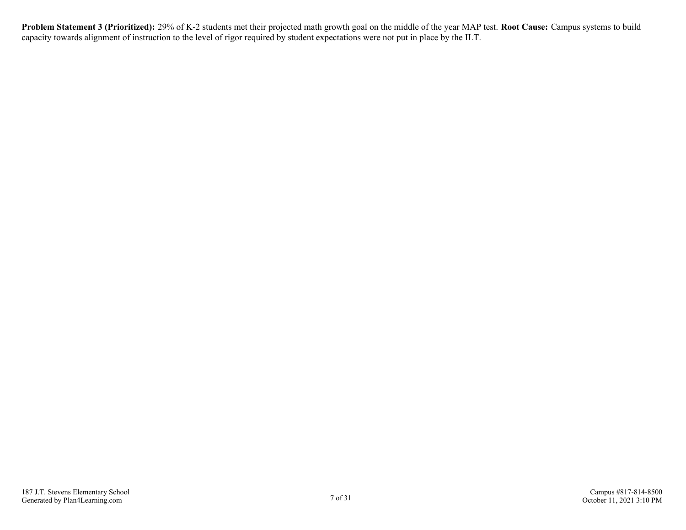**Problem Statement 3 (Prioritized):** 29% of K-2 students met their projected math growth goal on the middle of the year MAP test. **Root Cause:** Campus systems to build capacity towards alignment of instruction to the level of rigor required by student expectations were not put in place by the ILT.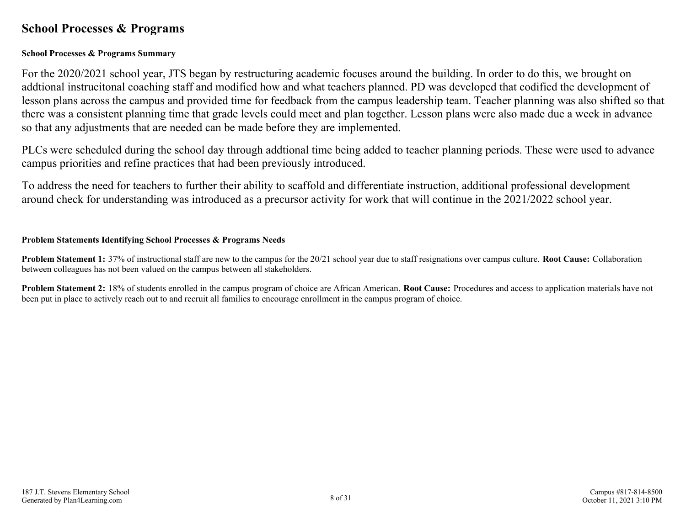### <span id="page-7-0"></span>**School Processes & Programs**

#### **School Processes & Programs Summary**

For the 2020/2021 school year, JTS began by restructuring academic focuses around the building. In order to do this, we brought on addtional instrucitonal coaching staff and modified how and what teachers planned. PD was developed that codified the development of lesson plans across the campus and provided time for feedback from the campus leadership team. Teacher planning was also shifted so that there was a consistent planning time that grade levels could meet and plan together. Lesson plans were also made due a week in advance so that any adjustments that are needed can be made before they are implemented.

PLCs were scheduled during the school day through addtional time being added to teacher planning periods. These were used to advance campus priorities and refine practices that had been previously introduced.

To address the need for teachers to further their ability to scaffold and differentiate instruction, additional professional development around check for understanding was introduced as a precursor activity for work that will continue in the 2021/2022 school year.

#### **Problem Statements Identifying School Processes & Programs Needs**

**Problem Statement 1:** 37% of instructional staff are new to the campus for the 20/21 school year due to staff resignations over campus culture. **Root Cause:** Collaboration between colleagues has not been valued on the campus between all stakeholders.

**Problem Statement 2:** 18% of students enrolled in the campus program of choice are African American. **Root Cause:** Procedures and access to application materials have not been put in place to actively reach out to and recruit all families to encourage enrollment in the campus program of choice.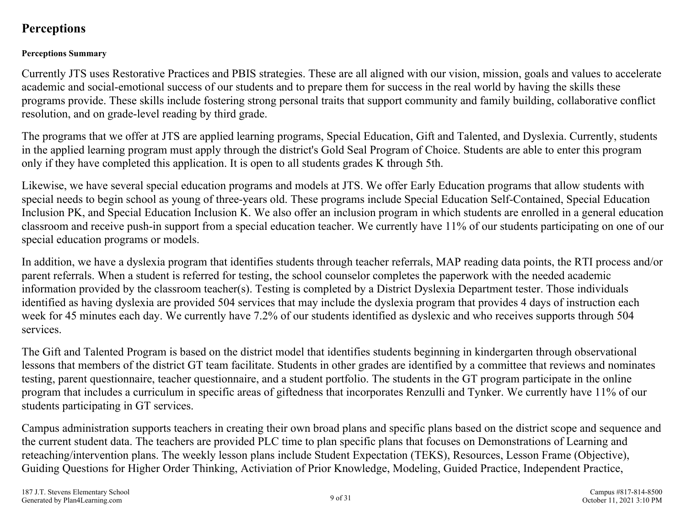### <span id="page-8-0"></span>**Perceptions**

#### **Perceptions Summary**

Currently JTS uses Restorative Practices and PBIS strategies. These are all aligned with our vision, mission, goals and values to accelerate academic and social-emotional success of our students and to prepare them for success in the real world by having the skills these programs provide. These skills include fostering strong personal traits that support community and family building, collaborative conflict resolution, and on grade-level reading by third grade.

The programs that we offer at JTS are applied learning programs, Special Education, Gift and Talented, and Dyslexia. Currently, students in the applied learning program must apply through the district's Gold Seal Program of Choice. Students are able to enter this program only if they have completed this application. It is open to all students grades K through 5th.

Likewise, we have several special education programs and models at JTS. We offer Early Education programs that allow students with special needs to begin school as young of three-years old. These programs include Special Education Self-Contained, Special Education Inclusion PK, and Special Education Inclusion K. We also offer an inclusion program in which students are enrolled in a general education classroom and receive push-in support from a special education teacher. We currently have 11% of our students participating on one of our special education programs or models.

In addition, we have a dyslexia program that identifies students through teacher referrals, MAP reading data points, the RTI process and/or parent referrals. When a student is referred for testing, the school counselor completes the paperwork with the needed academic information provided by the classroom teacher(s). Testing is completed by a District Dyslexia Department tester. Those individuals identified as having dyslexia are provided 504 services that may include the dyslexia program that provides 4 days of instruction each week for 45 minutes each day. We currently have 7.2% of our students identified as dyslexic and who receives supports through 504 services.

The Gift and Talented Program is based on the district model that identifies students beginning in kindergarten through observational lessons that members of the district GT team facilitate. Students in other grades are identified by a committee that reviews and nominates testing, parent questionnaire, teacher questionnaire, and a student portfolio. The students in the GT program participate in the online program that includes a curriculum in specific areas of giftedness that incorporates Renzulli and Tynker. We currently have 11% of our students participating in GT services.

Campus administration supports teachers in creating their own broad plans and specific plans based on the district scope and sequence and the current student data. The teachers are provided PLC time to plan specific plans that focuses on Demonstrations of Learning and reteaching/intervention plans. The weekly lesson plans include Student Expectation (TEKS), Resources, Lesson Frame (Objective), Guiding Questions for Higher Order Thinking, Activiation of Prior Knowledge, Modeling, Guided Practice, Independent Practice,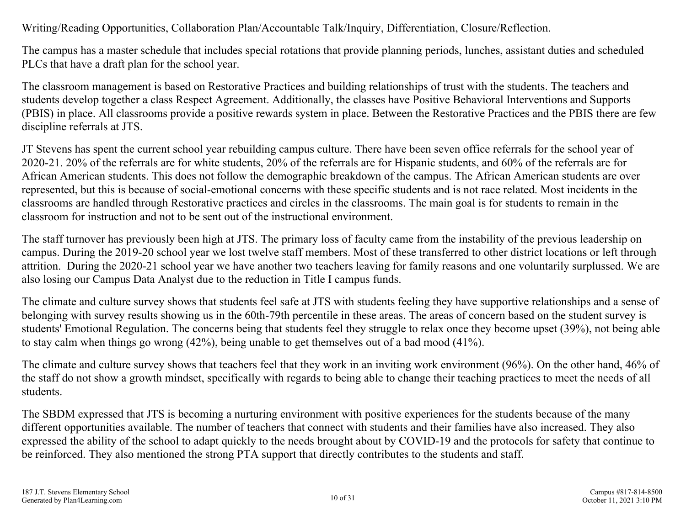### Writing/Reading Opportunities, Collaboration Plan/Accountable Talk/Inquiry, Differentiation, Closure/Reflection.

The campus has a master schedule that includes special rotations that provide planning periods, lunches, assistant duties and scheduled PLCs that have a draft plan for the school year.

The classroom management is based on Restorative Practices and building relationships of trust with the students. The teachers and students develop together a class Respect Agreement. Additionally, the classes have Positive Behavioral Interventions and Supports (PBIS) in place. All classrooms provide a positive rewards system in place. Between the Restorative Practices and the PBIS there are few discipline referrals at JTS.

JT Stevens has spent the current school year rebuilding campus culture. There have been seven office referrals for the school year of 2020-21. 20% of the referrals are for white students, 20% of the referrals are for Hispanic students, and 60% of the referrals are for African American students. This does not follow the demographic breakdown of the campus. The African American students are over represented, but this is because of social-emotional concerns with these specific students and is not race related. Most incidents in the classrooms are handled through Restorative practices and circles in the classrooms. The main goal is for students to remain in the classroom for instruction and not to be sent out of the instructional environment.

The staff turnover has previously been high at JTS. The primary loss of faculty came from the instability of the previous leadership on campus. During the 2019-20 school year we lost twelve staff members. Most of these transferred to other district locations or left through attrition. During the 2020-21 school year we have another two teachers leaving for family reasons and one voluntarily surplussed. We are also losing our Campus Data Analyst due to the reduction in Title I campus funds.

The climate and culture survey shows that students feel safe at JTS with students feeling they have supportive relationships and a sense of belonging with survey results showing us in the 60th-79th percentile in these areas. The areas of concern based on the student survey is students' Emotional Regulation. The concerns being that students feel they struggle to relax once they become upset (39%), not being able to stay calm when things go wrong (42%), being unable to get themselves out of a bad mood (41%).

The climate and culture survey shows that teachers feel that they work in an inviting work environment (96%). On the other hand, 46% of the staff do not show a growth mindset, specifically with regards to being able to change their teaching practices to meet the needs of all students.

The SBDM expressed that JTS is becoming a nurturing environment with positive experiences for the students because of the many different opportunities available. The number of teachers that connect with students and their families have also increased. They also expressed the ability of the school to adapt quickly to the needs brought about by COVID-19 and the protocols for safety that continue to be reinforced. They also mentioned the strong PTA support that directly contributes to the students and staff.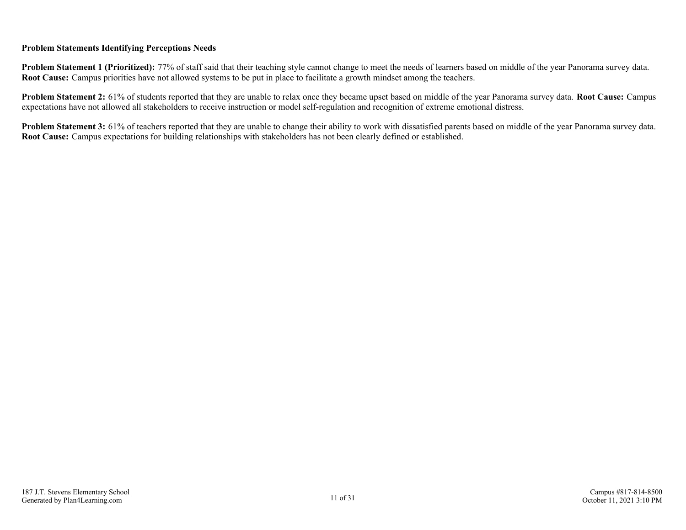#### **Problem Statements Identifying Perceptions Needs**

**Problem Statement 1 (Prioritized):** 77% of staff said that their teaching style cannot change to meet the needs of learners based on middle of the year Panorama survey data. **Root Cause:** Campus priorities have not allowed systems to be put in place to facilitate a growth mindset among the teachers.

**Problem Statement 2:** 61% of students reported that they are unable to relax once they became upset based on middle of the year Panorama survey data. **Root Cause:** Campus expectations have not allowed all stakeholders to receive instruction or model self-regulation and recognition of extreme emotional distress.

**Problem Statement 3:** 61% of teachers reported that they are unable to change their ability to work with dissatisfied parents based on middle of the year Panorama survey data. **Root Cause:** Campus expectations for building relationships with stakeholders has not been clearly defined or established.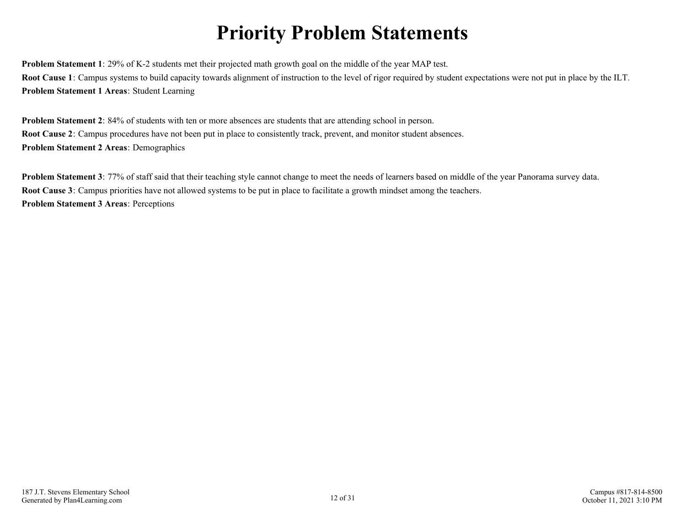## **Priority Problem Statements**

<span id="page-11-0"></span>**Problem Statement 1**: 29% of K-2 students met their projected math growth goal on the middle of the year MAP test. **Root Cause 1**: Campus systems to build capacity towards alignment of instruction to the level of rigor required by student expectations were not put in place by the ILT. **Problem Statement 1 Areas**: Student Learning

**Problem Statement 2**: 84% of students with ten or more absences are students that are attending school in person. **Root Cause 2**: Campus procedures have not been put in place to consistently track, prevent, and monitor student absences. **Problem Statement 2 Areas**: Demographics

**Problem Statement 3**: 77% of staff said that their teaching style cannot change to meet the needs of learners based on middle of the year Panorama survey data. **Root Cause 3**: Campus priorities have not allowed systems to be put in place to facilitate a growth mindset among the teachers. **Problem Statement 3 Areas**: Perceptions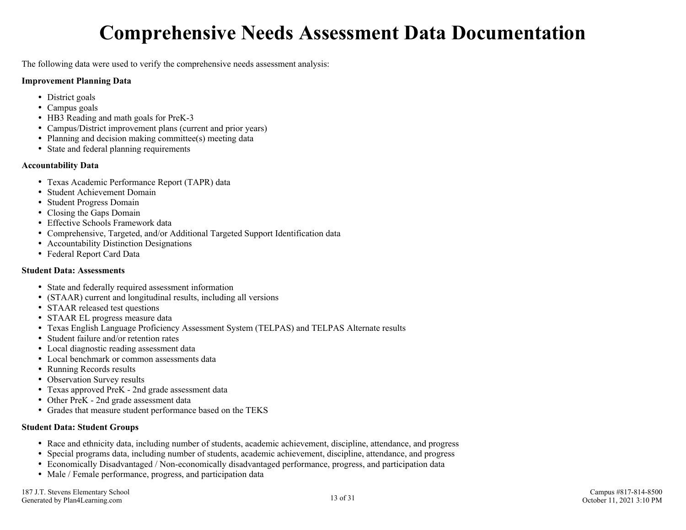## **Comprehensive Needs Assessment Data Documentation**

<span id="page-12-0"></span>The following data were used to verify the comprehensive needs assessment analysis:

#### **Improvement Planning Data**

- District goals
- Campus goals
- HB3 Reading and math goals for PreK-3
- Campus/District improvement plans (current and prior years)
- Planning and decision making committee(s) meeting data
- State and federal planning requirements

#### **Accountability Data**

- Texas Academic Performance Report (TAPR) data
- Student Achievement Domain
- Student Progress Domain
- Closing the Gaps Domain
- Effective Schools Framework data
- Comprehensive, Targeted, and/or Additional Targeted Support Identification data
- Accountability Distinction Designations
- Federal Report Card Data

#### **Student Data: Assessments**

- State and federally required assessment information
- (STAAR) current and longitudinal results, including all versions
- STAAR released test questions
- STAAR EL progress measure data
- Texas English Language Proficiency Assessment System (TELPAS) and TELPAS Alternate results
- Student failure and/or retention rates
- Local diagnostic reading assessment data
- Local benchmark or common assessments data
- Running Records results
- Observation Survey results
- Texas approved PreK 2nd grade assessment data
- Other PreK 2nd grade assessment data
- Grades that measure student performance based on the TEKS

#### **Student Data: Student Groups**

- Race and ethnicity data, including number of students, academic achievement, discipline, attendance, and progress
- Special programs data, including number of students, academic achievement, discipline, attendance, and progress  $\bullet$
- Economically Disadvantaged / Non-economically disadvantaged performance, progress, and participation data
- Male / Female performance, progress, and participation data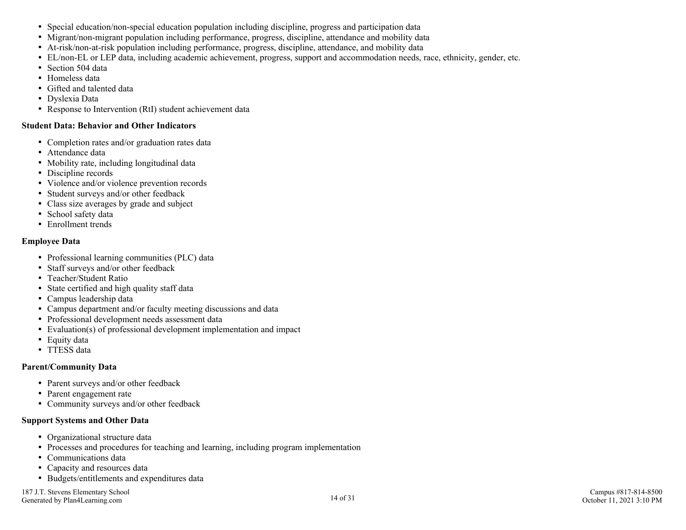- Special education/non-special education population including discipline, progress and participation data
- Migrant/non-migrant population including performance, progress, discipline, attendance and mobility data
- At-risk/non-at-risk population including performance, progress, discipline, attendance, and mobility data
- EL/non-EL or LEP data, including academic achievement, progress, support and accommodation needs, race, ethnicity, gender, etc.
- Section 504 data
- Homeless data
- Gifted and talented data
- Dyslexia Data
- Response to Intervention (RtI) student achievement data

#### **Student Data: Behavior and Other Indicators**

- Completion rates and/or graduation rates data
- Attendance data
- Mobility rate, including longitudinal data
- Discipline records
- Violence and/or violence prevention records
- Student surveys and/or other feedback
- Class size averages by grade and subject
- School safety data
- Enrollment trends

#### **Employee Data**

- Professional learning communities (PLC) data
- Staff surveys and/or other feedback
- Teacher/Student Ratio
- State certified and high quality staff data
- Campus leadership data
- Campus department and/or faculty meeting discussions and data
- Professional development needs assessment data
- Evaluation(s) of professional development implementation and impact
- Equity data
- TTESS data

#### **Parent/Community Data**

- Parent surveys and/or other feedback
- Parent engagement rate
- Community surveys and/or other feedback

#### **Support Systems and Other Data**

- Organizational structure data
- Processes and procedures for teaching and learning, including program implementation
- Communications data
- Capacity and resources data
- Budgets/entitlements and expenditures data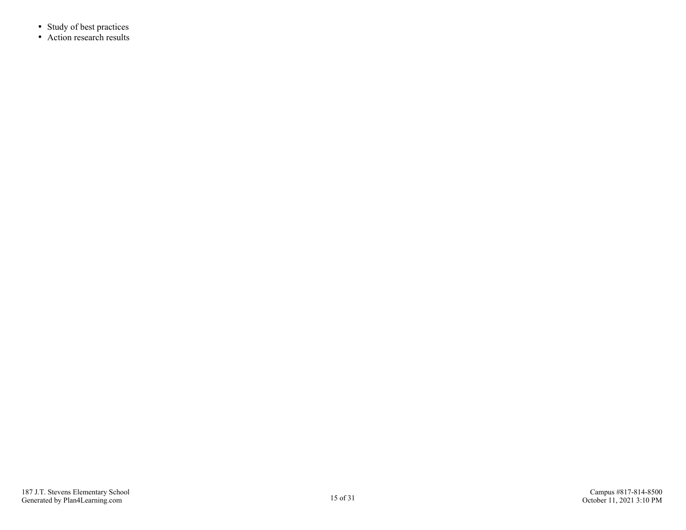- Study of best practices
- Action research results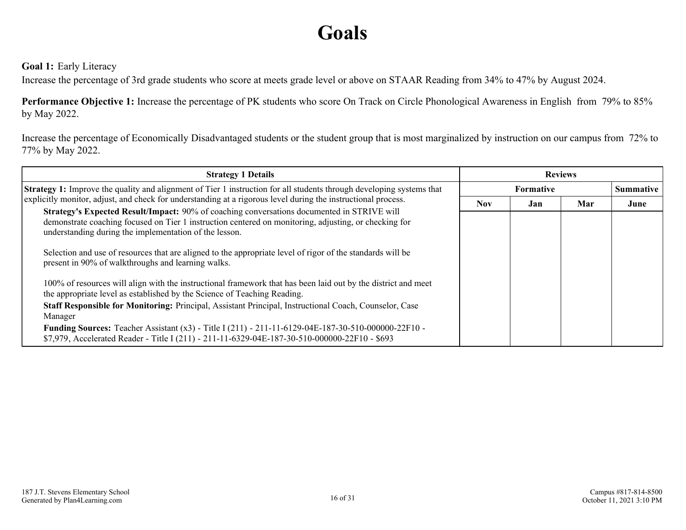## **Goals**

#### <span id="page-15-0"></span>**Goal 1:** Early Literacy

Increase the percentage of 3rd grade students who score at meets grade level or above on STAAR Reading from 34% to 47% by August 2024.

**Performance Objective 1:** Increase the percentage of PK students who score On Track on Circle Phonological Awareness in English from 79% to 85% by May 2022.

Increase the percentage of Economically Disadvantaged students or the student group that is most marginalized by instruction on our campus from 72% to 77% by May 2022.

| <b>Strategy 1 Details</b>                                                                                                                                                                                                                                     | <b>Reviews</b>   |     |     |                  |
|---------------------------------------------------------------------------------------------------------------------------------------------------------------------------------------------------------------------------------------------------------------|------------------|-----|-----|------------------|
| <b>Strategy 1:</b> Improve the quality and alignment of Tier 1 instruction for all students through developing systems that                                                                                                                                   | <b>Formative</b> |     |     | <b>Summative</b> |
| explicitly monitor, adjust, and check for understanding at a rigorous level during the instructional process.                                                                                                                                                 | <b>Nov</b>       | Jan | Mar | June             |
| Strategy's Expected Result/Impact: 90% of coaching conversations documented in STRIVE will<br>demonstrate coaching focused on Tier 1 instruction centered on monitoring, adjusting, or checking for<br>understanding during the implementation of the lesson. |                  |     |     |                  |
| Selection and use of resources that are aligned to the appropriate level of rigor of the standards will be<br>present in 90% of walkthroughs and learning walks.                                                                                              |                  |     |     |                  |
| 100% of resources will align with the instructional framework that has been laid out by the district and meet<br>the appropriate level as established by the Science of Teaching Reading.                                                                     |                  |     |     |                  |
| Staff Responsible for Monitoring: Principal, Assistant Principal, Instructional Coach, Counselor, Case<br>Manager                                                                                                                                             |                  |     |     |                  |
| Funding Sources: Teacher Assistant (x3) - Title I (211) - 211-11-6129-04E-187-30-510-000000-22F10 -<br>\$7,979, Accelerated Reader - Title I (211) - 211-11-6329-04E-187-30-510-000000-22F10 - \$693                                                          |                  |     |     |                  |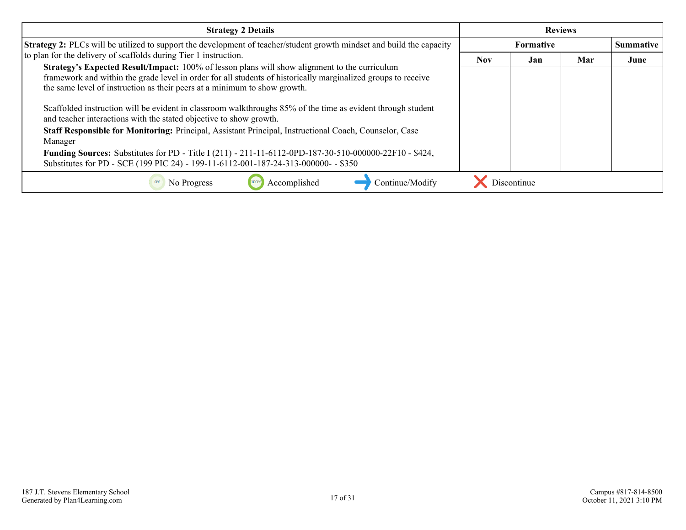| <b>Strategy 2 Details</b>                                                                                                                                                                                                                                                                          | <b>Reviews</b> |                  |     |                  |
|----------------------------------------------------------------------------------------------------------------------------------------------------------------------------------------------------------------------------------------------------------------------------------------------------|----------------|------------------|-----|------------------|
| <b>Strategy 2:</b> PLCs will be utilized to support the development of teacher/student growth mindset and build the capacity                                                                                                                                                                       |                | <b>Formative</b> |     | <b>Summative</b> |
| to plan for the delivery of scaffolds during Tier 1 instruction.                                                                                                                                                                                                                                   | <b>Nov</b>     | Jan              | Mar | June             |
| <b>Strategy's Expected Result/Impact:</b> 100% of lesson plans will show alignment to the curriculum<br>framework and within the grade level in order for all students of historically marginalized groups to receive<br>the same level of instruction as their peers at a minimum to show growth. |                |                  |     |                  |
| Scaffolded instruction will be evident in classroom walkthroughs 85% of the time as evident through student<br>and teacher interactions with the stated objective to show growth.                                                                                                                  |                |                  |     |                  |
| Staff Responsible for Monitoring: Principal, Assistant Principal, Instructional Coach, Counselor, Case<br>Manager                                                                                                                                                                                  |                |                  |     |                  |
| <b>Funding Sources:</b> Substitutes for PD - Title I (211) - 211-11-6112-0PD-187-30-510-000000-22F10 - \$424,<br>Substitutes for PD - SCE (199 PIC 24) - 199-11-6112-001-187-24-313-000000- - \$350                                                                                                |                |                  |     |                  |
| Accomplished<br>Continue/Modify<br>No Progress                                                                                                                                                                                                                                                     |                | Discontinue      |     |                  |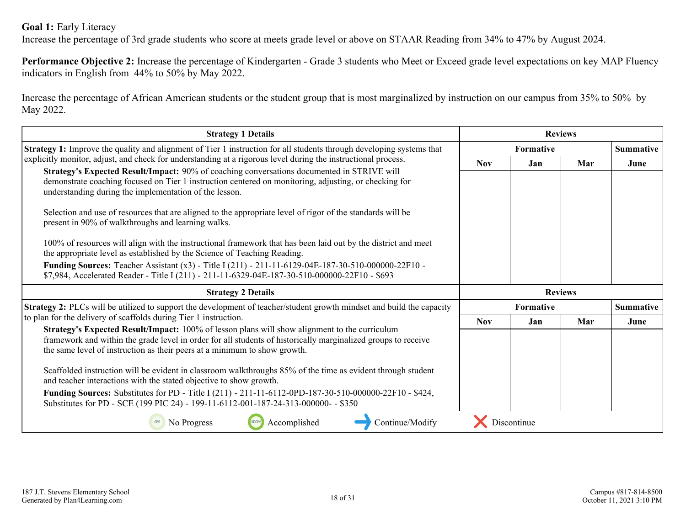#### **Goal 1:** Early Literacy

Increase the percentage of 3rd grade students who score at meets grade level or above on STAAR Reading from 34% to 47% by August 2024.

**Performance Objective 2:** Increase the percentage of Kindergarten - Grade 3 students who Meet or Exceed grade level expectations on key MAP Fluency indicators in English from 44% to 50% by May 2022.

Increase the percentage of African American students or the student group that is most marginalized by instruction on our campus from 35% to 50% by May 2022.

| <b>Strategy 1 Details</b>                                                                                                                                                                                                                                                                                                                                                                                                                                                                                                                                                                                                                                                                                                                       | <b>Reviews</b> |                  |                |                  |
|-------------------------------------------------------------------------------------------------------------------------------------------------------------------------------------------------------------------------------------------------------------------------------------------------------------------------------------------------------------------------------------------------------------------------------------------------------------------------------------------------------------------------------------------------------------------------------------------------------------------------------------------------------------------------------------------------------------------------------------------------|----------------|------------------|----------------|------------------|
| <b>Strategy 1:</b> Improve the quality and alignment of Tier 1 instruction for all students through developing systems that                                                                                                                                                                                                                                                                                                                                                                                                                                                                                                                                                                                                                     |                | <b>Formative</b> |                |                  |
| explicitly monitor, adjust, and check for understanding at a rigorous level during the instructional process.<br>Strategy's Expected Result/Impact: 90% of coaching conversations documented in STRIVE will<br>demonstrate coaching focused on Tier 1 instruction centered on monitoring, adjusting, or checking for<br>understanding during the implementation of the lesson.<br>Selection and use of resources that are aligned to the appropriate level of rigor of the standards will be<br>present in 90% of walkthroughs and learning walks.<br>100% of resources will align with the instructional framework that has been laid out by the district and meet<br>the appropriate level as established by the Science of Teaching Reading. | <b>Nov</b>     | Jan              | Mar            | June             |
| Funding Sources: Teacher Assistant (x3) - Title I (211) - 211-11-6129-04E-187-30-510-000000-22F10 -<br>\$7,984, Accelerated Reader - Title I (211) - 211-11-6329-04E-187-30-510-000000-22F10 - \$693<br><b>Strategy 2 Details</b>                                                                                                                                                                                                                                                                                                                                                                                                                                                                                                               |                |                  | <b>Reviews</b> |                  |
| <b>Strategy 2:</b> PLCs will be utilized to support the development of teacher/student growth mindset and build the capacity                                                                                                                                                                                                                                                                                                                                                                                                                                                                                                                                                                                                                    |                | Formative        |                | <b>Summative</b> |
| to plan for the delivery of scaffolds during Tier 1 instruction.                                                                                                                                                                                                                                                                                                                                                                                                                                                                                                                                                                                                                                                                                | <b>Nov</b>     | Jan              | Mar            | June             |
| Strategy's Expected Result/Impact: 100% of lesson plans will show alignment to the curriculum<br>framework and within the grade level in order for all students of historically marginalized groups to receive<br>the same level of instruction as their peers at a minimum to show growth.<br>Scaffolded instruction will be evident in classroom walkthroughs 85% of the time as evident through student<br>and teacher interactions with the stated objective to show growth.<br><b>Funding Sources:</b> Substitutes for PD - Title I (211) - 211-11-6112-0PD-187-30-510-000000-22F10 - \$424,<br>Substitutes for PD - SCE (199 PIC 24) - 199-11-6112-001-187-24-313-000000- - \$350                                                         |                |                  |                |                  |
| Accomplished<br>Continue/Modify<br>No Progress<br>100%                                                                                                                                                                                                                                                                                                                                                                                                                                                                                                                                                                                                                                                                                          |                | Discontinue      |                |                  |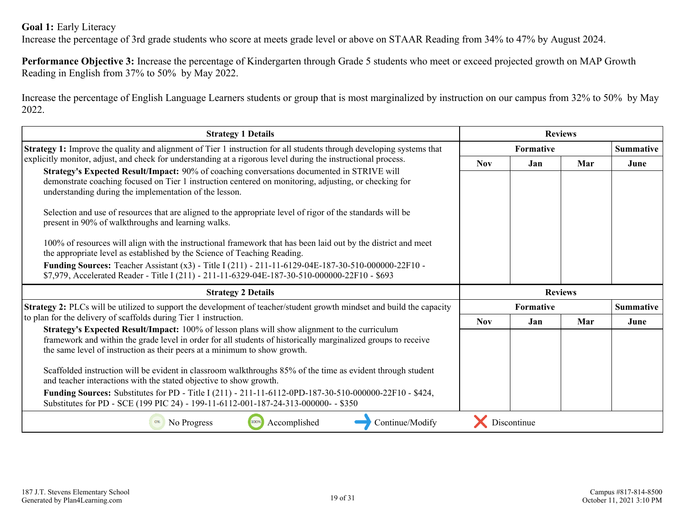#### **Goal 1:** Early Literacy

Increase the percentage of 3rd grade students who score at meets grade level or above on STAAR Reading from 34% to 47% by August 2024.

**Performance Objective 3:** Increase the percentage of Kindergarten through Grade 5 students who meet or exceed projected growth on MAP Growth Reading in English from 37% to 50% by May 2022.

Increase the percentage of English Language Learners students or group that is most marginalized by instruction on our campus from 32% to 50% by May 2022.

| <b>Strategy 1 Details</b>                                                                                                                                                                                                                                                                   | <b>Reviews</b> |                  |     |                  |
|---------------------------------------------------------------------------------------------------------------------------------------------------------------------------------------------------------------------------------------------------------------------------------------------|----------------|------------------|-----|------------------|
| <b>Strategy 1:</b> Improve the quality and alignment of Tier 1 instruction for all students through developing systems that                                                                                                                                                                 |                | <b>Formative</b> |     | <b>Summative</b> |
| explicitly monitor, adjust, and check for understanding at a rigorous level during the instructional process.                                                                                                                                                                               | <b>Nov</b>     | Jan              | Mar | June             |
| Strategy's Expected Result/Impact: 90% of coaching conversations documented in STRIVE will<br>demonstrate coaching focused on Tier 1 instruction centered on monitoring, adjusting, or checking for<br>understanding during the implementation of the lesson.                               |                |                  |     |                  |
| Selection and use of resources that are aligned to the appropriate level of rigor of the standards will be<br>present in 90% of walkthroughs and learning walks.                                                                                                                            |                |                  |     |                  |
| 100% of resources will align with the instructional framework that has been laid out by the district and meet<br>the appropriate level as established by the Science of Teaching Reading.                                                                                                   |                |                  |     |                  |
| Funding Sources: Teacher Assistant (x3) - Title I (211) - 211-11-6129-04E-187-30-510-000000-22F10 -<br>\$7,979, Accelerated Reader - Title I (211) - 211-11-6329-04E-187-30-510-000000-22F10 - \$693                                                                                        |                |                  |     |                  |
| <b>Strategy 2 Details</b>                                                                                                                                                                                                                                                                   |                | <b>Reviews</b>   |     |                  |
|                                                                                                                                                                                                                                                                                             | Formative      |                  |     |                  |
| Strategy 2: PLCs will be utilized to support the development of teacher/student growth mindset and build the capacity                                                                                                                                                                       |                |                  |     | <b>Summative</b> |
| to plan for the delivery of scaffolds during Tier 1 instruction.                                                                                                                                                                                                                            | <b>Nov</b>     | Jan              | Mar | June             |
| Strategy's Expected Result/Impact: 100% of lesson plans will show alignment to the curriculum<br>framework and within the grade level in order for all students of historically marginalized groups to receive<br>the same level of instruction as their peers at a minimum to show growth. |                |                  |     |                  |
| Scaffolded instruction will be evident in classroom walkthroughs 85% of the time as evident through student<br>and teacher interactions with the stated objective to show growth.                                                                                                           |                |                  |     |                  |
| <b>Funding Sources:</b> Substitutes for PD - Title I (211) - 211-11-6112-0PD-187-30-510-000000-22F10 - \$424,<br>Substitutes for PD - SCE (199 PIC 24) - 199-11-6112-001-187-24-313-000000- - \$350                                                                                         |                |                  |     |                  |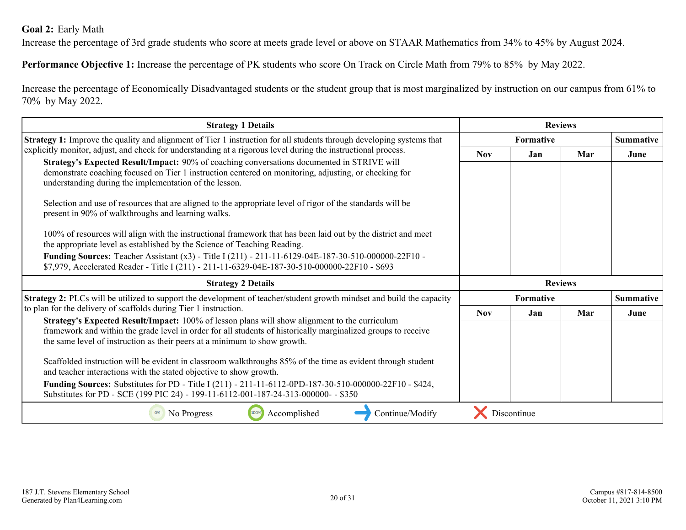#### <span id="page-19-0"></span>**Goal 2:** Early Math

Increase the percentage of 3rd grade students who score at meets grade level or above on STAAR Mathematics from 34% to 45% by August 2024.

**Performance Objective 1:** Increase the percentage of PK students who score On Track on Circle Math from 79% to 85% by May 2022.

Increase the percentage of Economically Disadvantaged students or the student group that is most marginalized by instruction on our campus from 61% to 70% by May 2022.

| <b>Strategy 1 Details</b>                                                                                                                                                                                                                                     | <b>Reviews</b> |                  |                |                  |
|---------------------------------------------------------------------------------------------------------------------------------------------------------------------------------------------------------------------------------------------------------------|----------------|------------------|----------------|------------------|
| Strategy 1: Improve the quality and alignment of Tier 1 instruction for all students through developing systems that                                                                                                                                          |                | <b>Formative</b> |                |                  |
| explicitly monitor, adjust, and check for understanding at a rigorous level during the instructional process.                                                                                                                                                 | <b>Nov</b>     | Jan              | Mar            | June             |
| Strategy's Expected Result/Impact: 90% of coaching conversations documented in STRIVE will<br>demonstrate coaching focused on Tier 1 instruction centered on monitoring, adjusting, or checking for<br>understanding during the implementation of the lesson. |                |                  |                |                  |
| Selection and use of resources that are aligned to the appropriate level of rigor of the standards will be<br>present in 90% of walkthroughs and learning walks.                                                                                              |                |                  |                |                  |
| 100% of resources will align with the instructional framework that has been laid out by the district and meet<br>the appropriate level as established by the Science of Teaching Reading.                                                                     |                |                  |                |                  |
| Funding Sources: Teacher Assistant (x3) - Title I (211) - 211-11-6129-04E-187-30-510-000000-22F10 -<br>\$7,979, Accelerated Reader - Title I (211) - 211-11-6329-04E-187-30-510-000000-22F10 - \$693                                                          |                |                  |                |                  |
| <b>Strategy 2 Details</b>                                                                                                                                                                                                                                     |                |                  | <b>Reviews</b> |                  |
| <b>Strategy 2:</b> PLCs will be utilized to support the development of teacher/student growth mindset and build the capacity                                                                                                                                  |                | <b>Formative</b> |                | <b>Summative</b> |
| to plan for the delivery of scaffolds during Tier 1 instruction.                                                                                                                                                                                              | <b>Nov</b>     | Jan              | Mar            | June             |
| Strategy's Expected Result/Impact: 100% of lesson plans will show alignment to the curriculum                                                                                                                                                                 |                |                  |                |                  |
| framework and within the grade level in order for all students of historically marginalized groups to receive<br>the same level of instruction as their peers at a minimum to show growth.                                                                    |                |                  |                |                  |
| Scaffolded instruction will be evident in classroom walkthroughs 85% of the time as evident through student<br>and teacher interactions with the stated objective to show growth.                                                                             |                |                  |                |                  |
| Funding Sources: Substitutes for PD - Title I (211) - 211-11-6112-0PD-187-30-510-000000-22F10 - \$424,<br>Substitutes for PD - SCE (199 PIC 24) - 199-11-6112-001-187-24-313-000000- - \$350                                                                  |                |                  |                |                  |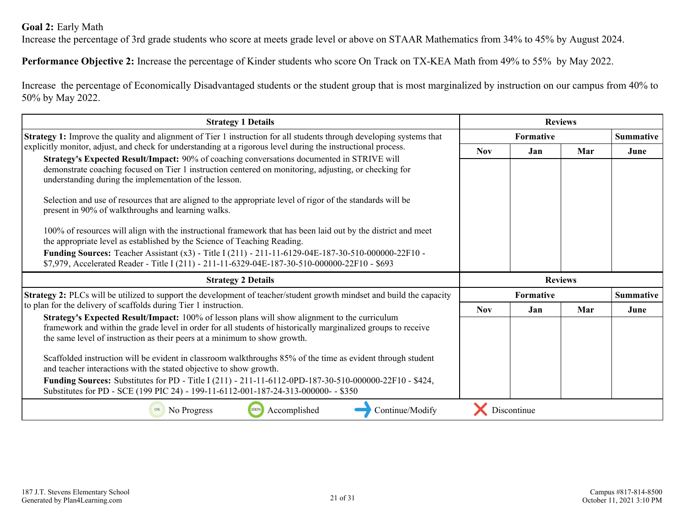#### **Goal 2:** Early Math

Increase the percentage of 3rd grade students who score at meets grade level or above on STAAR Mathematics from 34% to 45% by August 2024.

**Performance Objective 2:** Increase the percentage of Kinder students who score On Track on TX-KEA Math from 49% to 55% by May 2022.

Increase the percentage of Economically Disadvantaged students or the student group that is most marginalized by instruction on our campus from 40% to 50% by May 2022.

| <b>Strategy 1 Details</b>                                                                                                                                                                                                                                                                   | <b>Reviews</b> |             |                |                  |
|---------------------------------------------------------------------------------------------------------------------------------------------------------------------------------------------------------------------------------------------------------------------------------------------|----------------|-------------|----------------|------------------|
| <b>Strategy 1:</b> Improve the quality and alignment of Tier 1 instruction for all students through developing systems that                                                                                                                                                                 |                | Formative   |                | <b>Summative</b> |
| explicitly monitor, adjust, and check for understanding at a rigorous level during the instructional process.                                                                                                                                                                               | <b>Nov</b>     | Jan         | Mar            | June             |
| Strategy's Expected Result/Impact: 90% of coaching conversations documented in STRIVE will<br>demonstrate coaching focused on Tier 1 instruction centered on monitoring, adjusting, or checking for<br>understanding during the implementation of the lesson.                               |                |             |                |                  |
| Selection and use of resources that are aligned to the appropriate level of rigor of the standards will be<br>present in 90% of walkthroughs and learning walks.                                                                                                                            |                |             |                |                  |
| 100% of resources will align with the instructional framework that has been laid out by the district and meet<br>the appropriate level as established by the Science of Teaching Reading.                                                                                                   |                |             |                |                  |
| Funding Sources: Teacher Assistant (x3) - Title I (211) - 211-11-6129-04E-187-30-510-000000-22F10 -<br>\$7,979, Accelerated Reader - Title I (211) - 211-11-6329-04E-187-30-510-000000-22F10 - \$693                                                                                        |                |             |                |                  |
| <b>Strategy 2 Details</b>                                                                                                                                                                                                                                                                   |                |             | <b>Reviews</b> |                  |
| <b>Strategy 2:</b> PLCs will be utilized to support the development of teacher/student growth mindset and build the capacity                                                                                                                                                                |                | Formative   |                | <b>Summative</b> |
| to plan for the delivery of scaffolds during Tier 1 instruction.                                                                                                                                                                                                                            | <b>Nov</b>     | Jan         | Mar            | June             |
| Strategy's Expected Result/Impact: 100% of lesson plans will show alignment to the curriculum<br>framework and within the grade level in order for all students of historically marginalized groups to receive<br>the same level of instruction as their peers at a minimum to show growth. |                |             |                |                  |
| Scaffolded instruction will be evident in classroom walkthroughs 85% of the time as evident through student<br>and teacher interactions with the stated objective to show growth.                                                                                                           |                |             |                |                  |
| <b>Funding Sources:</b> Substitutes for PD - Title I (211) - 211-11-6112-0PD-187-30-510-000000-22F10 - \$424,<br>Substitutes for PD - SCE (199 PIC 24) - 199-11-6112-001-187-24-313-000000- - \$350                                                                                         |                |             |                |                  |
| Accomplished<br>Continue/Modify<br>No Progress<br>100%<br>0%                                                                                                                                                                                                                                |                | Discontinue |                |                  |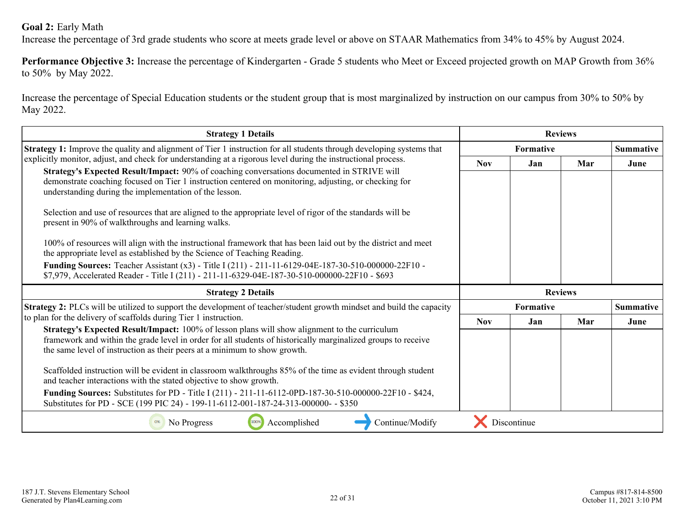#### **Goal 2:** Early Math

Increase the percentage of 3rd grade students who score at meets grade level or above on STAAR Mathematics from 34% to 45% by August 2024.

**Performance Objective 3:** Increase the percentage of Kindergarten - Grade 5 students who Meet or Exceed projected growth on MAP Growth from 36% to 50% by May 2022.

Increase the percentage of Special Education students or the student group that is most marginalized by instruction on our campus from 30% to 50% by May 2022.

| <b>Strategy 1 Details</b>                                                                                                                                                                                                                                                                   | <b>Reviews</b> |                  |     |                  |
|---------------------------------------------------------------------------------------------------------------------------------------------------------------------------------------------------------------------------------------------------------------------------------------------|----------------|------------------|-----|------------------|
| <b>Strategy 1:</b> Improve the quality and alignment of Tier 1 instruction for all students through developing systems that                                                                                                                                                                 |                | Formative        |     | <b>Summative</b> |
| explicitly monitor, adjust, and check for understanding at a rigorous level during the instructional process.                                                                                                                                                                               | <b>Nov</b>     | Jan              | Mar | June             |
| Strategy's Expected Result/Impact: 90% of coaching conversations documented in STRIVE will<br>demonstrate coaching focused on Tier 1 instruction centered on monitoring, adjusting, or checking for<br>understanding during the implementation of the lesson.                               |                |                  |     |                  |
| Selection and use of resources that are aligned to the appropriate level of rigor of the standards will be<br>present in 90% of walkthroughs and learning walks.                                                                                                                            |                |                  |     |                  |
| 100% of resources will align with the instructional framework that has been laid out by the district and meet<br>the appropriate level as established by the Science of Teaching Reading.                                                                                                   |                |                  |     |                  |
| Funding Sources: Teacher Assistant (x3) - Title I (211) - 211-11-6129-04E-187-30-510-000000-22F10 -<br>\$7,979, Accelerated Reader - Title I (211) - 211-11-6329-04E-187-30-510-000000-22F10 - \$693                                                                                        |                |                  |     |                  |
|                                                                                                                                                                                                                                                                                             |                |                  |     |                  |
| <b>Strategy 2 Details</b>                                                                                                                                                                                                                                                                   |                | <b>Reviews</b>   |     |                  |
| Strategy 2: PLCs will be utilized to support the development of teacher/student growth mindset and build the capacity                                                                                                                                                                       |                | <b>Formative</b> |     | <b>Summative</b> |
| to plan for the delivery of scaffolds during Tier 1 instruction.                                                                                                                                                                                                                            | <b>Nov</b>     | Jan              | Mar | June             |
| Strategy's Expected Result/Impact: 100% of lesson plans will show alignment to the curriculum<br>framework and within the grade level in order for all students of historically marginalized groups to receive<br>the same level of instruction as their peers at a minimum to show growth. |                |                  |     |                  |
| Scaffolded instruction will be evident in classroom walkthroughs 85% of the time as evident through student<br>and teacher interactions with the stated objective to show growth.                                                                                                           |                |                  |     |                  |
| <b>Funding Sources:</b> Substitutes for PD - Title I (211) - 211-11-6112-0PD-187-30-510-000000-22F10 - \$424,<br>Substitutes for PD - SCE (199 PIC 24) - 199-11-6112-001-187-24-313-000000- - \$350                                                                                         |                |                  |     |                  |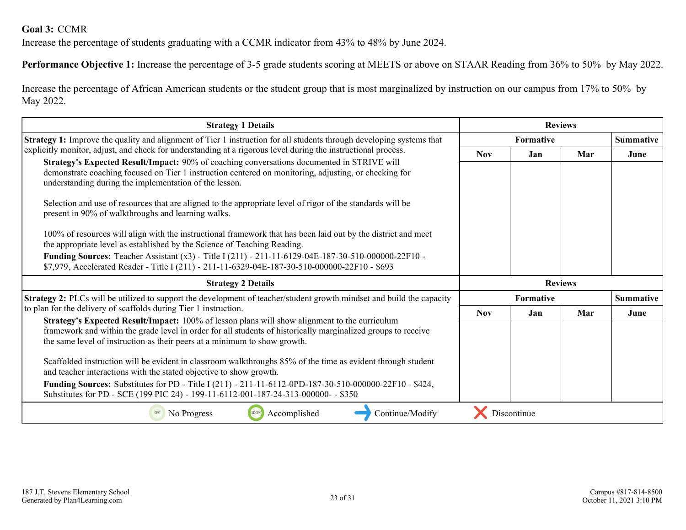#### <span id="page-22-0"></span>**Goal 3:** CCMR

Increase the percentage of students graduating with a CCMR indicator from 43% to 48% by June 2024.

**Performance Objective 1:** Increase the percentage of 3-5 grade students scoring at MEETS or above on STAAR Reading from 36% to 50% by May 2022.

Increase the percentage of African American students or the student group that is most marginalized by instruction on our campus from 17% to 50% by May 2022.

| <b>Strategy 1 Details</b>                                                                                                                                                                                                                                                                   | <b>Reviews</b> |                  |                |                  |
|---------------------------------------------------------------------------------------------------------------------------------------------------------------------------------------------------------------------------------------------------------------------------------------------|----------------|------------------|----------------|------------------|
| <b>Strategy 1:</b> Improve the quality and alignment of Tier 1 instruction for all students through developing systems that                                                                                                                                                                 |                | <b>Formative</b> |                | <b>Summative</b> |
| explicitly monitor, adjust, and check for understanding at a rigorous level during the instructional process.                                                                                                                                                                               | <b>Nov</b>     | <b>Jan</b>       | Mar            | June             |
| Strategy's Expected Result/Impact: 90% of coaching conversations documented in STRIVE will<br>demonstrate coaching focused on Tier 1 instruction centered on monitoring, adjusting, or checking for<br>understanding during the implementation of the lesson.                               |                |                  |                |                  |
| Selection and use of resources that are aligned to the appropriate level of rigor of the standards will be<br>present in 90% of walkthroughs and learning walks.                                                                                                                            |                |                  |                |                  |
| 100% of resources will align with the instructional framework that has been laid out by the district and meet<br>the appropriate level as established by the Science of Teaching Reading.                                                                                                   |                |                  |                |                  |
| Funding Sources: Teacher Assistant (x3) - Title I (211) - 211-11-6129-04E-187-30-510-000000-22F10 -<br>\$7,979, Accelerated Reader - Title I (211) - 211-11-6329-04E-187-30-510-000000-22F10 - \$693                                                                                        |                |                  |                |                  |
| <b>Strategy 2 Details</b>                                                                                                                                                                                                                                                                   |                |                  | <b>Reviews</b> |                  |
| <b>Strategy 2:</b> PLCs will be utilized to support the development of teacher/student growth mindset and build the capacity                                                                                                                                                                |                | <b>Formative</b> |                | <b>Summative</b> |
| to plan for the delivery of scaffolds during Tier 1 instruction.                                                                                                                                                                                                                            | <b>Nov</b>     | Jan              | Mar            | June             |
| Strategy's Expected Result/Impact: 100% of lesson plans will show alignment to the curriculum<br>framework and within the grade level in order for all students of historically marginalized groups to receive<br>the same level of instruction as their peers at a minimum to show growth. |                |                  |                |                  |
|                                                                                                                                                                                                                                                                                             |                |                  |                |                  |
| Scaffolded instruction will be evident in classroom walkthroughs 85% of the time as evident through student<br>and teacher interactions with the stated objective to show growth.                                                                                                           |                |                  |                |                  |
| <b>Funding Sources:</b> Substitutes for PD - Title I (211) - 211-11-6112-0PD-187-30-510-000000-22F10 - \$424,<br>Substitutes for PD - SCE (199 PIC 24) - 199-11-6112-001-187-24-313-000000- - \$350                                                                                         |                |                  |                |                  |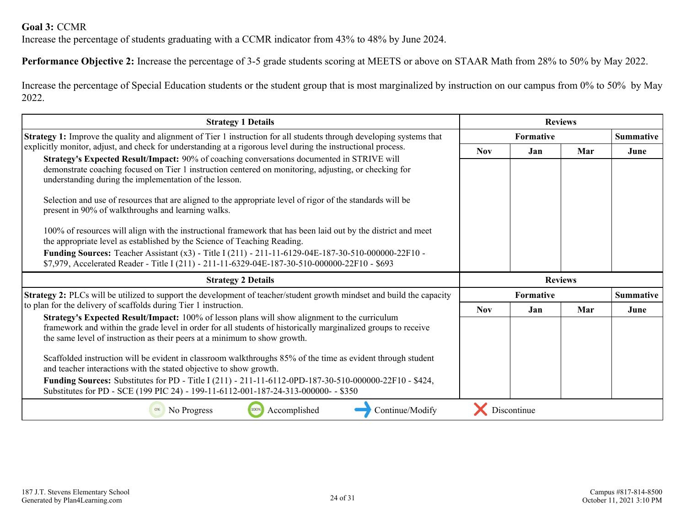#### **Goal 3:** CCMR

Increase the percentage of students graduating with a CCMR indicator from 43% to 48% by June 2024.

**Performance Objective 2:** Increase the percentage of 3-5 grade students scoring at MEETS or above on STAAR Math from 28% to 50% by May 2022.

Increase the percentage of Special Education students or the student group that is most marginalized by instruction on our campus from 0% to 50% by May 2022.

| <b>Strategy 1 Details</b>                                                                                                                                                                                                                                                                          | <b>Reviews</b> |                  |                |                  |  |                  |
|----------------------------------------------------------------------------------------------------------------------------------------------------------------------------------------------------------------------------------------------------------------------------------------------------|----------------|------------------|----------------|------------------|--|------------------|
| <b>Strategy 1:</b> Improve the quality and alignment of Tier 1 instruction for all students through developing systems that                                                                                                                                                                        |                | <b>Formative</b> |                |                  |  | <b>Summative</b> |
| explicitly monitor, adjust, and check for understanding at a rigorous level during the instructional process.                                                                                                                                                                                      | <b>Nov</b>     | Jan              | Mar            | June             |  |                  |
| Strategy's Expected Result/Impact: 90% of coaching conversations documented in STRIVE will<br>demonstrate coaching focused on Tier 1 instruction centered on monitoring, adjusting, or checking for<br>understanding during the implementation of the lesson.                                      |                |                  |                |                  |  |                  |
| Selection and use of resources that are aligned to the appropriate level of rigor of the standards will be<br>present in 90% of walkthroughs and learning walks.                                                                                                                                   |                |                  |                |                  |  |                  |
| 100% of resources will align with the instructional framework that has been laid out by the district and meet<br>the appropriate level as established by the Science of Teaching Reading.                                                                                                          |                |                  |                |                  |  |                  |
| Funding Sources: Teacher Assistant (x3) - Title I (211) - 211-11-6129-04E-187-30-510-000000-22F10 -<br>\$7,979, Accelerated Reader - Title I (211) - 211-11-6329-04E-187-30-510-000000-22F10 - \$693                                                                                               |                |                  |                |                  |  |                  |
| <b>Strategy 2 Details</b>                                                                                                                                                                                                                                                                          |                |                  | <b>Reviews</b> |                  |  |                  |
| <b>Strategy 2:</b> PLCs will be utilized to support the development of teacher/student growth mindset and build the capacity                                                                                                                                                                       |                | <b>Formative</b> |                | <b>Summative</b> |  |                  |
| to plan for the delivery of scaffolds during Tier 1 instruction.                                                                                                                                                                                                                                   | <b>Nov</b>     | Jan              | Mar            | June             |  |                  |
| <b>Strategy's Expected Result/Impact:</b> 100% of lesson plans will show alignment to the curriculum<br>framework and within the grade level in order for all students of historically marginalized groups to receive<br>the same level of instruction as their peers at a minimum to show growth. |                |                  |                |                  |  |                  |
| Scaffolded instruction will be evident in classroom walkthroughs 85% of the time as evident through student<br>and teacher interactions with the stated objective to show growth.                                                                                                                  |                |                  |                |                  |  |                  |
| <b>Funding Sources:</b> Substitutes for PD - Title I (211) - 211-11-6112-0PD-187-30-510-000000-22F10 - \$424,<br>Substitutes for PD - SCE (199 PIC 24) - 199-11-6112-001-187-24-313-000000- - \$350                                                                                                |                |                  |                |                  |  |                  |
| Accomplished<br>Continue/Modify<br>No Progress<br>100%<br>0%                                                                                                                                                                                                                                       |                | Discontinue      |                |                  |  |                  |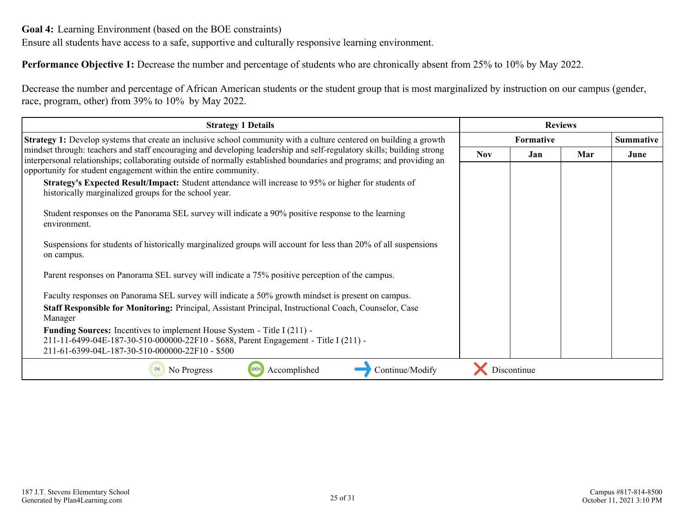<span id="page-24-0"></span>Ensure all students have access to a safe, supportive and culturally responsive learning environment.

**Performance Objective 1:** Decrease the number and percentage of students who are chronically absent from 25% to 10% by May 2022.

Decrease the number and percentage of African American students or the student group that is most marginalized by instruction on our campus (gender, race, program, other) from 39% to 10% by May 2022.

| <b>Strategy 1 Details</b>                                                                                                                                                                                                                     | <b>Reviews</b> |                  |     |                  |
|-----------------------------------------------------------------------------------------------------------------------------------------------------------------------------------------------------------------------------------------------|----------------|------------------|-----|------------------|
| <b>Strategy 1:</b> Develop systems that create an inclusive school community with a culture centered on building a growth                                                                                                                     |                | <b>Formative</b> |     | <b>Summative</b> |
| mindset through: teachers and staff encouraging and developing leadership and self-regulatory skills; building strong<br>interpersonal relationships; collaborating outside of normally established boundaries and programs; and providing an | <b>Nov</b>     | Jan              | Mar | June             |
| opportunity for student engagement within the entire community.<br>Strategy's Expected Result/Impact: Student attendance will increase to 95% or higher for students of<br>historically marginalized groups for the school year.              |                |                  |     |                  |
| Student responses on the Panorama SEL survey will indicate a 90% positive response to the learning<br>environment.                                                                                                                            |                |                  |     |                  |
| Suspensions for students of historically marginalized groups will account for less than 20% of all suspensions<br>on campus.                                                                                                                  |                |                  |     |                  |
| Parent responses on Panorama SEL survey will indicate a 75% positive perception of the campus.                                                                                                                                                |                |                  |     |                  |
| Faculty responses on Panorama SEL survey will indicate a 50% growth mindset is present on campus.                                                                                                                                             |                |                  |     |                  |
| Staff Responsible for Monitoring: Principal, Assistant Principal, Instructional Coach, Counselor, Case<br>Manager                                                                                                                             |                |                  |     |                  |
| <b>Funding Sources:</b> Incentives to implement House System - Title I (211) -<br>211-11-6499-04E-187-30-510-000000-22F10 - \$688, Parent Engagement - Title I (211) -<br>211-61-6399-04L-187-30-510-000000-22F10 - \$500                     |                |                  |     |                  |
| Accomplished<br>Continue/Modify<br>No Progress                                                                                                                                                                                                |                | Discontinue      |     |                  |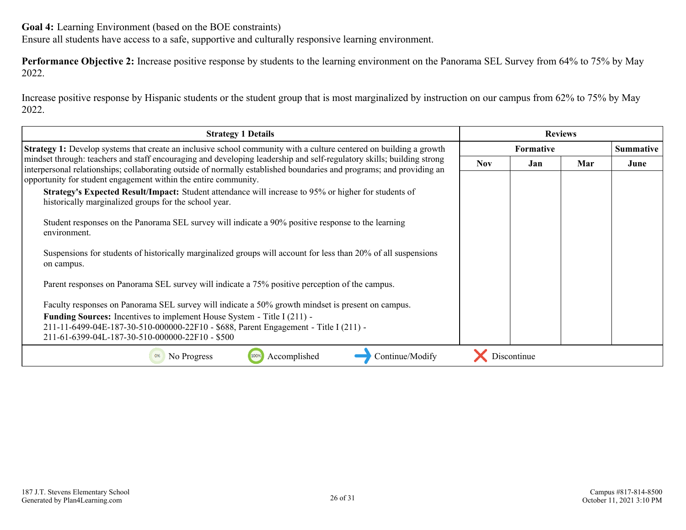Ensure all students have access to a safe, supportive and culturally responsive learning environment.

**Performance Objective 2:** Increase positive response by students to the learning environment on the Panorama SEL Survey from 64% to 75% by May 2022.

Increase positive response by Hispanic students or the student group that is most marginalized by instruction on our campus from 62% to 75% by May 2022.

| <b>Strategy 1 Details</b>                                                                                                                                                                                                                                                                                        | <b>Reviews</b> |                  |     |      |
|------------------------------------------------------------------------------------------------------------------------------------------------------------------------------------------------------------------------------------------------------------------------------------------------------------------|----------------|------------------|-----|------|
| <b>Strategy 1:</b> Develop systems that create an inclusive school community with a culture centered on building a growth                                                                                                                                                                                        |                | <b>Formative</b> |     |      |
| mindset through: teachers and staff encouraging and developing leadership and self-regulatory skills; building strong<br>interpersonal relationships; collaborating outside of normally established boundaries and programs; and providing an<br>opportunity for student engagement within the entire community. | <b>Nov</b>     | Jan              | Mar | June |
| Strategy's Expected Result/Impact: Student attendance will increase to 95% or higher for students of<br>historically marginalized groups for the school year.                                                                                                                                                    |                |                  |     |      |
| Student responses on the Panorama SEL survey will indicate a 90% positive response to the learning<br>environment.                                                                                                                                                                                               |                |                  |     |      |
| Suspensions for students of historically marginalized groups will account for less than 20% of all suspensions<br>on campus.                                                                                                                                                                                     |                |                  |     |      |
| Parent responses on Panorama SEL survey will indicate a 75% positive perception of the campus.                                                                                                                                                                                                                   |                |                  |     |      |
| Faculty responses on Panorama SEL survey will indicate a 50% growth mindset is present on campus.                                                                                                                                                                                                                |                |                  |     |      |
| <b>Funding Sources:</b> Incentives to implement House System - Title I (211) -<br>211-11-6499-04E-187-30-510-000000-22F10 - \$688, Parent Engagement - Title I (211) -<br>211-61-6399-04L-187-30-510-000000-22F10 - \$500                                                                                        |                |                  |     |      |
| Accomplished<br>Continue/Modify<br>No Progress<br>0%                                                                                                                                                                                                                                                             |                | Discontinue      |     |      |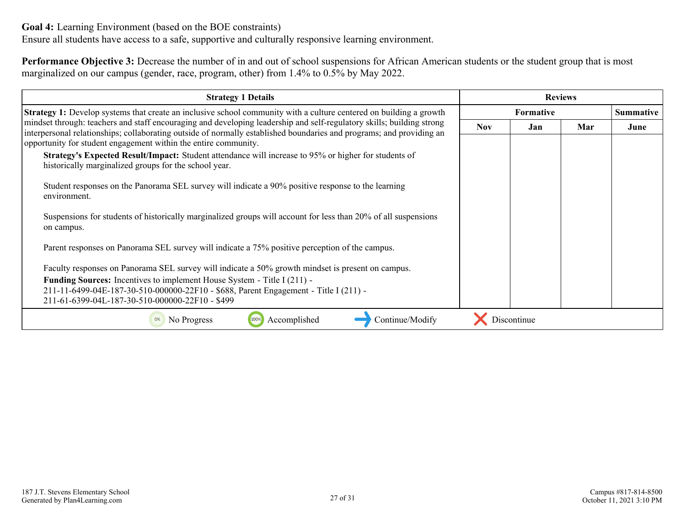Ensure all students have access to a safe, supportive and culturally responsive learning environment.

**Performance Objective 3:** Decrease the number of in and out of school suspensions for African American students or the student group that is most marginalized on our campus (gender, race, program, other) from 1.4% to 0.5% by May 2022.

| <b>Strategy 1 Details</b>                                                                                                                                                                                                                                                                                        | <b>Reviews</b>   |             |     |                  |
|------------------------------------------------------------------------------------------------------------------------------------------------------------------------------------------------------------------------------------------------------------------------------------------------------------------|------------------|-------------|-----|------------------|
| <b>Strategy 1:</b> Develop systems that create an inclusive school community with a culture centered on building a growth                                                                                                                                                                                        | <b>Formative</b> |             |     | <b>Summative</b> |
| mindset through: teachers and staff encouraging and developing leadership and self-regulatory skills; building strong<br>interpersonal relationships; collaborating outside of normally established boundaries and programs; and providing an<br>opportunity for student engagement within the entire community. | <b>Nov</b>       | Jan         | Mar | June             |
| Strategy's Expected Result/Impact: Student attendance will increase to 95% or higher for students of<br>historically marginalized groups for the school year.                                                                                                                                                    |                  |             |     |                  |
| Student responses on the Panorama SEL survey will indicate a 90% positive response to the learning<br>environment.                                                                                                                                                                                               |                  |             |     |                  |
| Suspensions for students of historically marginalized groups will account for less than 20% of all suspensions<br>on campus.                                                                                                                                                                                     |                  |             |     |                  |
| Parent responses on Panorama SEL survey will indicate a 75% positive perception of the campus.                                                                                                                                                                                                                   |                  |             |     |                  |
| Faculty responses on Panorama SEL survey will indicate a 50% growth mindset is present on campus.                                                                                                                                                                                                                |                  |             |     |                  |
| <b>Funding Sources:</b> Incentives to implement House System - Title I (211) -<br>211-11-6499-04E-187-30-510-000000-22F10 - \$688, Parent Engagement - Title I (211) -<br>211-61-6399-04L-187-30-510-000000-22F10 - \$499                                                                                        |                  |             |     |                  |
| Accomplished<br>Continue/Modify<br>No Progress<br>0%                                                                                                                                                                                                                                                             |                  | Discontinue |     |                  |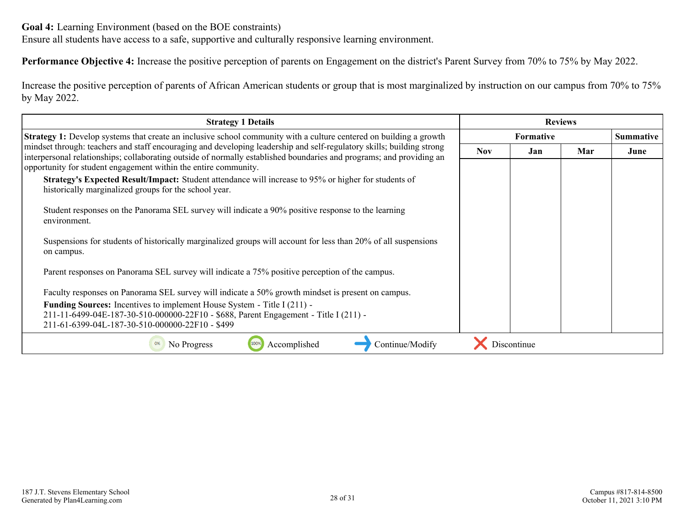Ensure all students have access to a safe, supportive and culturally responsive learning environment.

**Performance Objective 4:** Increase the positive perception of parents on Engagement on the district's Parent Survey from 70% to 75% by May 2022.

Increase the positive perception of parents of African American students or group that is most marginalized by instruction on our campus from 70% to 75% by May 2022.

| <b>Strategy 1 Details</b>                                                                                                                                                                                                                                                                                        | <b>Reviews</b>   |             |     |                  |
|------------------------------------------------------------------------------------------------------------------------------------------------------------------------------------------------------------------------------------------------------------------------------------------------------------------|------------------|-------------|-----|------------------|
| <b>Strategy 1:</b> Develop systems that create an inclusive school community with a culture centered on building a growth                                                                                                                                                                                        | <b>Formative</b> |             |     | <b>Summative</b> |
| mindset through: teachers and staff encouraging and developing leadership and self-regulatory skills; building strong<br>interpersonal relationships; collaborating outside of normally established boundaries and programs; and providing an<br>opportunity for student engagement within the entire community. | <b>Nov</b>       | Jan         | Mar | June             |
| Strategy's Expected Result/Impact: Student attendance will increase to 95% or higher for students of<br>historically marginalized groups for the school year.                                                                                                                                                    |                  |             |     |                  |
| Student responses on the Panorama SEL survey will indicate a 90% positive response to the learning<br>environment.                                                                                                                                                                                               |                  |             |     |                  |
| Suspensions for students of historically marginalized groups will account for less than 20% of all suspensions<br>on campus.                                                                                                                                                                                     |                  |             |     |                  |
| Parent responses on Panorama SEL survey will indicate a 75% positive perception of the campus.                                                                                                                                                                                                                   |                  |             |     |                  |
| Faculty responses on Panorama SEL survey will indicate a 50% growth mindset is present on campus.                                                                                                                                                                                                                |                  |             |     |                  |
| <b>Funding Sources:</b> Incentives to implement House System - Title I (211) -<br>211-11-6499-04E-187-30-510-000000-22F10 - \$688, Parent Engagement - Title I (211) -<br>211-61-6399-04L-187-30-510-000000-22F10 - \$499                                                                                        |                  |             |     |                  |
| Accomplished<br>Continue/Modify<br>No Progress<br>0%                                                                                                                                                                                                                                                             |                  | Discontinue |     |                  |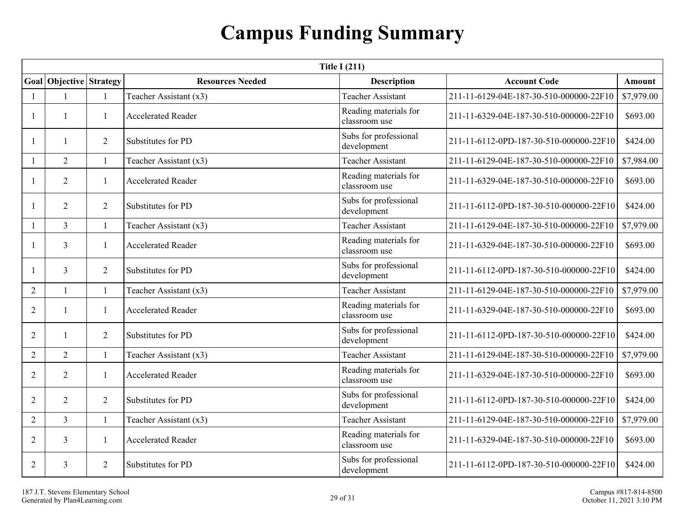## **Campus Funding Summary**

<span id="page-28-0"></span>

|                | <b>Title I (211)</b>    |                |                           |                                        |                                         |            |  |  |  |
|----------------|-------------------------|----------------|---------------------------|----------------------------------------|-----------------------------------------|------------|--|--|--|
|                | Goal Objective Strategy |                | <b>Resources Needed</b>   | <b>Description</b>                     | <b>Account Code</b>                     | Amount     |  |  |  |
|                |                         |                | Teacher Assistant (x3)    | <b>Teacher Assistant</b>               | 211-11-6129-04E-187-30-510-000000-22F10 | \$7,979.00 |  |  |  |
|                |                         | 1              | <b>Accelerated Reader</b> | Reading materials for<br>classroom use | 211-11-6329-04E-187-30-510-000000-22F10 | \$693.00   |  |  |  |
|                |                         | 2              | Substitutes for PD        | Subs for professional<br>development   | 211-11-6112-0PD-187-30-510-000000-22F10 | \$424.00   |  |  |  |
|                | $\overline{2}$          | $\mathbf{1}$   | Teacher Assistant (x3)    | <b>Teacher Assistant</b>               | 211-11-6129-04E-187-30-510-000000-22F10 | \$7,984.00 |  |  |  |
| 1              | $\overline{2}$          | 1              | <b>Accelerated Reader</b> | Reading materials for<br>classroom use | 211-11-6329-04E-187-30-510-000000-22F10 | \$693.00   |  |  |  |
|                | $\overline{2}$          | $\overline{2}$ | Substitutes for PD        | Subs for professional<br>development   | 211-11-6112-0PD-187-30-510-000000-22F10 | \$424.00   |  |  |  |
| 1              | $\overline{3}$          | 1              | Teacher Assistant (x3)    | <b>Teacher Assistant</b>               | 211-11-6129-04E-187-30-510-000000-22F10 | \$7,979.00 |  |  |  |
|                | $\overline{3}$          | 1              | <b>Accelerated Reader</b> | Reading materials for<br>classroom use | 211-11-6329-04E-187-30-510-000000-22F10 | \$693.00   |  |  |  |
| 1              | $\overline{3}$          | $\overline{2}$ | Substitutes for PD        | Subs for professional<br>development   | 211-11-6112-0PD-187-30-510-000000-22F10 | \$424.00   |  |  |  |
| $\overline{2}$ |                         | $\mathbf{1}$   | Teacher Assistant (x3)    | <b>Teacher Assistant</b>               | 211-11-6129-04E-187-30-510-000000-22F10 | \$7,979.00 |  |  |  |
| $\overline{2}$ |                         | 1              | <b>Accelerated Reader</b> | Reading materials for<br>classroom use | 211-11-6329-04E-187-30-510-000000-22F10 | \$693.00   |  |  |  |
| 2              |                         | 2              | Substitutes for PD        | Subs for professional<br>development   | 211-11-6112-0PD-187-30-510-000000-22F10 | \$424.00   |  |  |  |
| $\overline{2}$ | $\overline{2}$          | $\mathbf{1}$   | Teacher Assistant (x3)    | <b>Teacher Assistant</b>               | 211-11-6129-04E-187-30-510-000000-22F10 | \$7,979.00 |  |  |  |
| 2              | $\overline{2}$          | 1              | <b>Accelerated Reader</b> | Reading materials for<br>classroom use | 211-11-6329-04E-187-30-510-000000-22F10 | \$693.00   |  |  |  |
| 2              | $\overline{2}$          | $\overline{2}$ | Substitutes for PD        | Subs for professional<br>development   | 211-11-6112-0PD-187-30-510-000000-22F10 | \$424.00   |  |  |  |
| 2              | $\overline{3}$          | $\mathbf{1}$   | Teacher Assistant (x3)    | <b>Teacher Assistant</b>               | 211-11-6129-04E-187-30-510-000000-22F10 | \$7,979.00 |  |  |  |
| $\overline{2}$ | $\overline{3}$          | 1              | <b>Accelerated Reader</b> | Reading materials for<br>classroom use | 211-11-6329-04E-187-30-510-000000-22F10 | \$693.00   |  |  |  |
| $\overline{2}$ | 3                       | 2              | Substitutes for PD        | Subs for professional<br>development   | 211-11-6112-0PD-187-30-510-000000-22F10 | \$424.00   |  |  |  |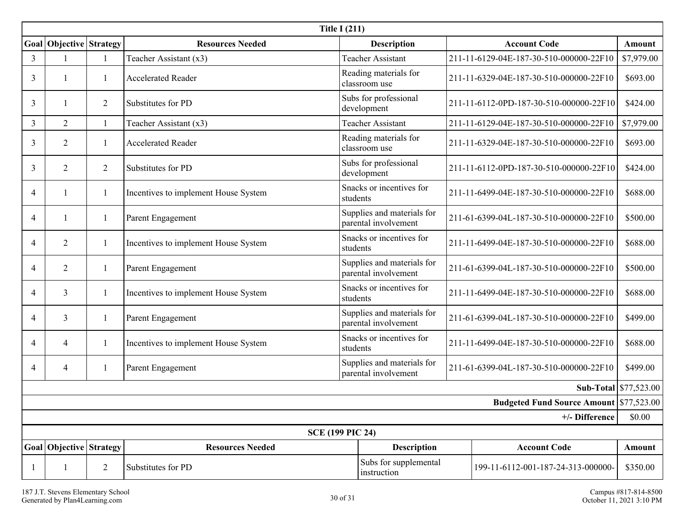| <b>Title I (211)</b>                           |                             |                |                                      |                                                                            |                                         |            |  |
|------------------------------------------------|-----------------------------|----------------|--------------------------------------|----------------------------------------------------------------------------|-----------------------------------------|------------|--|
|                                                | Goal   Objective   Strategy |                | <b>Resources Needed</b>              | <b>Description</b>                                                         | <b>Account Code</b>                     | Amount     |  |
| 3                                              |                             |                | Teacher Assistant (x3)               | <b>Teacher Assistant</b>                                                   | 211-11-6129-04E-187-30-510-000000-22F10 | \$7,979.00 |  |
| 3                                              |                             |                | <b>Accelerated Reader</b>            | Reading materials for<br>classroom use                                     | 211-11-6329-04E-187-30-510-000000-22F10 | \$693.00   |  |
| 3                                              |                             | $\overline{2}$ | Substitutes for PD                   | Subs for professional<br>development                                       | 211-11-6112-0PD-187-30-510-000000-22F10 | \$424.00   |  |
| 3                                              | 2                           | $\mathbf{1}$   | Teacher Assistant (x3)               | <b>Teacher Assistant</b>                                                   | 211-11-6129-04E-187-30-510-000000-22F10 | \$7,979.00 |  |
| 3                                              | $\overline{2}$              | 1              | Accelerated Reader                   | Reading materials for<br>classroom use                                     | 211-11-6329-04E-187-30-510-000000-22F10 | \$693.00   |  |
| 3                                              | $\overline{2}$              | 2              | Substitutes for PD                   | Subs for professional<br>development                                       | 211-11-6112-0PD-187-30-510-000000-22F10 | \$424.00   |  |
| 4                                              |                             | 1              | Incentives to implement House System | Snacks or incentives for<br>students                                       | 211-11-6499-04E-187-30-510-000000-22F10 | \$688.00   |  |
| 4                                              |                             | 1              | Parent Engagement                    | Supplies and materials for<br>parental involvement                         | 211-61-6399-04L-187-30-510-000000-22F10 | \$500.00   |  |
| 4                                              | 2                           | 1              | Incentives to implement House System | Snacks or incentives for<br>students                                       | 211-11-6499-04E-187-30-510-000000-22F10 | \$688.00   |  |
| 4                                              | $\overline{2}$              | 1              | Parent Engagement                    | Supplies and materials for<br>parental involvement                         | 211-61-6399-04L-187-30-510-000000-22F10 | \$500.00   |  |
| 4                                              | 3                           | 1              | Incentives to implement House System | Snacks or incentives for<br>students                                       | 211-11-6499-04E-187-30-510-000000-22F10 | \$688.00   |  |
| 4                                              | 3                           | 1              | Parent Engagement                    | Supplies and materials for<br>parental involvement                         | 211-61-6399-04L-187-30-510-000000-22F10 | \$499.00   |  |
| 4                                              | $\overline{4}$              |                | Incentives to implement House System | Snacks or incentives for<br>students                                       | 211-11-6499-04E-187-30-510-000000-22F10 | \$688.00   |  |
| 4                                              | 4                           |                | Parent Engagement                    | Supplies and materials for<br>parental involvement                         | 211-61-6399-04L-187-30-510-000000-22F10 | \$499.00   |  |
| <b>Sub-Total</b> $$77,523.00$                  |                             |                |                                      |                                                                            |                                         |            |  |
| <b>Budgeted Fund Source Amount \$77,523.00</b> |                             |                |                                      |                                                                            |                                         |            |  |
| +/- Difference                                 |                             |                |                                      |                                                                            |                                         |            |  |
| <b>SCE (199 PIC 24)</b>                        |                             |                |                                      |                                                                            |                                         |            |  |
|                                                | Goal Objective Strategy     |                | <b>Resources Needed</b>              | <b>Account Code</b><br><b>Description</b>                                  |                                         | Amount     |  |
|                                                | $\mathbf{1}$                | $\overline{2}$ | Substitutes for PD                   | Subs for supplemental<br>199-11-6112-001-187-24-313-000000-<br>instruction |                                         | \$350.00   |  |